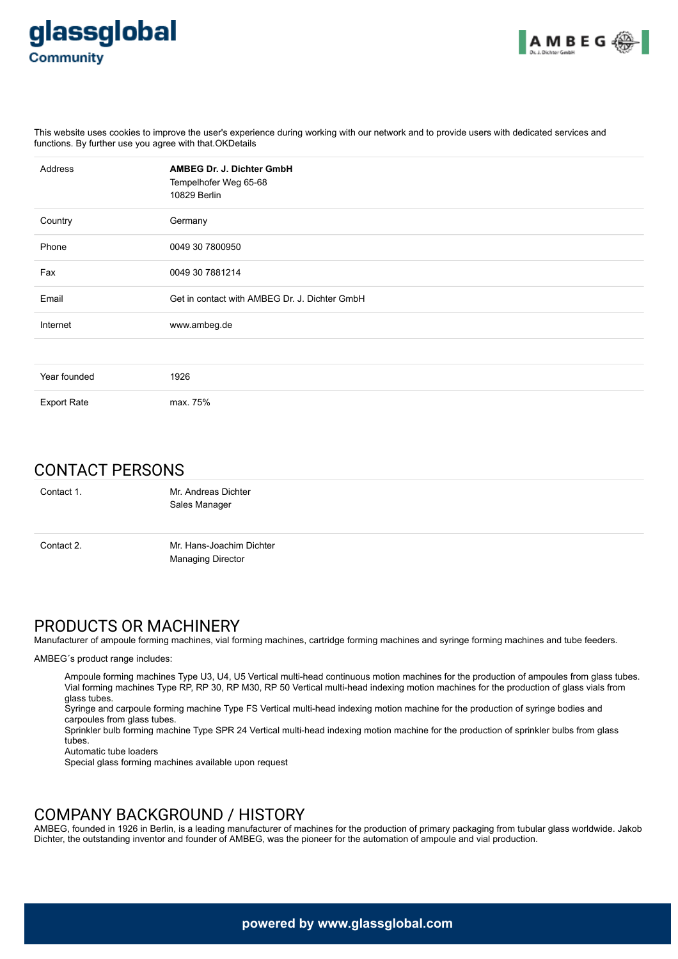



This website uses cookies to improve the user's experience during working with our network and to provide users with dedicated services and functions. By further use you agree with that.OKDetails

| Address            | <b>AMBEG Dr. J. Dichter GmbH</b><br>Tempelhofer Weg 65-68<br>10829 Berlin |
|--------------------|---------------------------------------------------------------------------|
| Country            | Germany                                                                   |
| Phone              | 0049 30 7800950                                                           |
| Fax                | 0049 30 7881214                                                           |
| Email              | Get in contact with AMBEG Dr. J. Dichter GmbH                             |
| Internet           | www.ambeg.de                                                              |
|                    |                                                                           |
| Year founded       | 1926                                                                      |
| <b>Export Rate</b> | max. 75%                                                                  |

## CONTACT PERSONS

| Contact 1. | Mr. Andreas Dichter<br>Sales Manager                 |
|------------|------------------------------------------------------|
| Contact 2. | Mr. Hans-Joachim Dichter<br><b>Managing Director</b> |

## PRODUCTS OR MACHINERY

Manufacturer of ampoule forming machines, vial forming machines, cartridge forming machines and syringe forming machines and tube feeders.

## AMBEG´s product range includes:

Ampoule forming machines Type U3, U4, U5 Vertical multi-head continuous motion machines for the production of ampoules from glass tubes. Vial forming machines Type RP, RP 30, RP M30, RP 50 Vertical multi-head indexing motion machines for the production of glass vials from glass tubes.

Syringe and carpoule forming machine Type FS Vertical multi-head indexing motion machine for the production of syringe bodies and carpoules from glass tubes.

Sprinkler bulb forming machine Type SPR 24 Vertical multi-head indexing motion machine for the production of sprinkler bulbs from glass tubes.

Automatic tube loaders

Special glass forming machines available upon request

## COMPANY BACKGROUND / HISTORY

AMBEG, founded in 1926 in Berlin, is a leading manufacturer of machines for the production of primary packaging from tubular glass worldwide. Jakob Dichter, the outstanding inventor and founder of AMBEG, was the pioneer for the automation of ampoule and vial production.